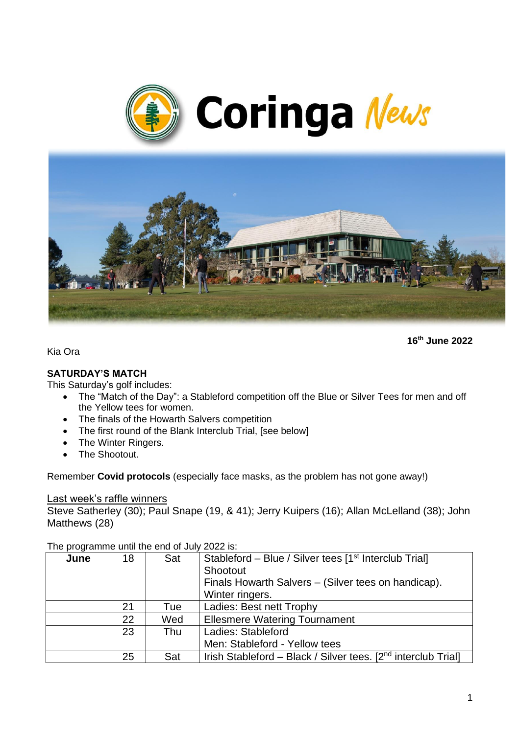



**16th June 2022**

Kia Ora

#### **SATURDAY'S MATCH**

This Saturday's golf includes:

- The "Match of the Day": a Stableford competition off the Blue or Silver Tees for men and off the Yellow tees for women.
- The finals of the Howarth Salvers competition
- The first round of the Blank Interclub Trial, [see below]
- The Winter Ringers.
- The Shootout.

Remember **Covid protocols** (especially face masks, as the problem has not gone away!)

#### Last week's raffle winners

Steve Satherley (30); Paul Snape (19, & 41); Jerry Kuipers (16); Allan McLelland (38); John Matthews (28)

| $1110$ programmo antin the only of our |    |     |                                                                           |
|----------------------------------------|----|-----|---------------------------------------------------------------------------|
| June                                   | 18 | Sat | Stableford - Blue / Silver tees [1 <sup>st</sup> Interclub Trial]         |
|                                        |    |     | Shootout                                                                  |
|                                        |    |     | Finals Howarth Salvers – (Silver tees on handicap).                       |
|                                        |    |     | Winter ringers.                                                           |
|                                        | 21 | Tue | Ladies: Best nett Trophy                                                  |
|                                        | 22 | Wed | <b>Ellesmere Watering Tournament</b>                                      |
|                                        | 23 | Thu | Ladies: Stableford                                                        |
|                                        |    |     | Men: Stableford - Yellow tees                                             |
|                                        | 25 | Sat | Irish Stableford - Black / Silver tees. [2 <sup>nd</sup> interclub Trial] |

The programme until the end of July 2022 is: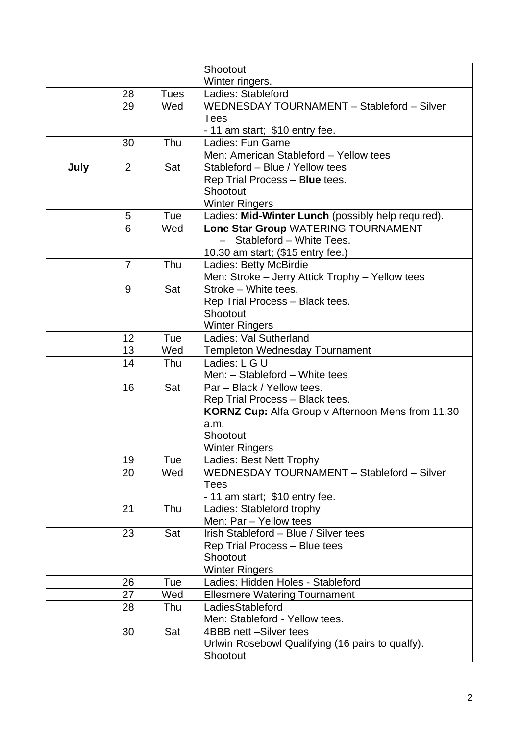|      |                |             | Shootout                                                                |
|------|----------------|-------------|-------------------------------------------------------------------------|
|      |                |             | Winter ringers.                                                         |
|      | 28             | <b>Tues</b> | Ladies: Stableford                                                      |
|      | 29             | Wed         | WEDNESDAY TOURNAMENT - Stableford - Silver                              |
|      |                |             | <b>Tees</b>                                                             |
|      |                |             | - 11 am start; \$10 entry fee.                                          |
|      | 30             | Thu         | Ladies: Fun Game                                                        |
|      |                |             | Men: American Stableford - Yellow tees                                  |
| July | $\overline{2}$ | Sat         | Stableford - Blue / Yellow tees                                         |
|      |                |             | Rep Trial Process - Blue tees.                                          |
|      |                |             | Shootout                                                                |
|      |                |             | <b>Winter Ringers</b>                                                   |
|      | 5              | Tue         | Ladies: Mid-Winter Lunch (possibly help required).                      |
|      | 6              | Wed         | Lone Star Group WATERING TOURNAMENT                                     |
|      |                |             | Stableford - White Tees.                                                |
|      |                |             | 10.30 am start; (\$15 entry fee.)                                       |
|      | $\overline{7}$ | Thu         | Ladies: Betty McBirdie                                                  |
|      | 9              | Sat         | Men: Stroke - Jerry Attick Trophy - Yellow tees<br>Stroke - White tees. |
|      |                |             | Rep Trial Process - Black tees.                                         |
|      |                |             | Shootout                                                                |
|      |                |             | <b>Winter Ringers</b>                                                   |
|      | 12             | Tue         | Ladies: Val Sutherland                                                  |
|      | 13             | Wed         | <b>Templeton Wednesday Tournament</b>                                   |
|      | 14             | Thu         | Ladies: L G U                                                           |
|      |                |             | Men: - Stableford - White tees                                          |
|      | 16             | Sat         | Par - Black / Yellow tees.                                              |
|      |                |             | Rep Trial Process - Black tees.                                         |
|      |                |             | <b>KORNZ Cup:</b> Alfa Group v Afternoon Mens from 11.30                |
|      |                |             | a.m.                                                                    |
|      |                |             | Shootout                                                                |
|      |                |             | <b>Winter Ringers</b>                                                   |
|      | 19             | Tue         | Ladies: Best Nett Trophy                                                |
|      | 20             | Wed         | WEDNESDAY TOURNAMENT - Stableford - Silver                              |
|      |                |             | <b>Tees</b>                                                             |
|      |                |             | - 11 am start; \$10 entry fee.                                          |
|      | 21             | Thu         | Ladies: Stableford trophy<br>Men: Par - Yellow tees                     |
|      | 23             | Sat         | Irish Stableford - Blue / Silver tees                                   |
|      |                |             | Rep Trial Process - Blue tees                                           |
|      |                |             | Shootout                                                                |
|      |                |             | <b>Winter Ringers</b>                                                   |
|      | 26             | Tue         | Ladies: Hidden Holes - Stableford                                       |
|      | 27             | Wed         | <b>Ellesmere Watering Tournament</b>                                    |
|      | 28             | Thu         | LadiesStableford                                                        |
|      |                |             | Men: Stableford - Yellow tees.                                          |
|      | 30             | Sat         | 4BBB nett -Silver tees                                                  |
|      |                |             | Urlwin Rosebowl Qualifying (16 pairs to qualfy).                        |
|      |                |             | Shootout                                                                |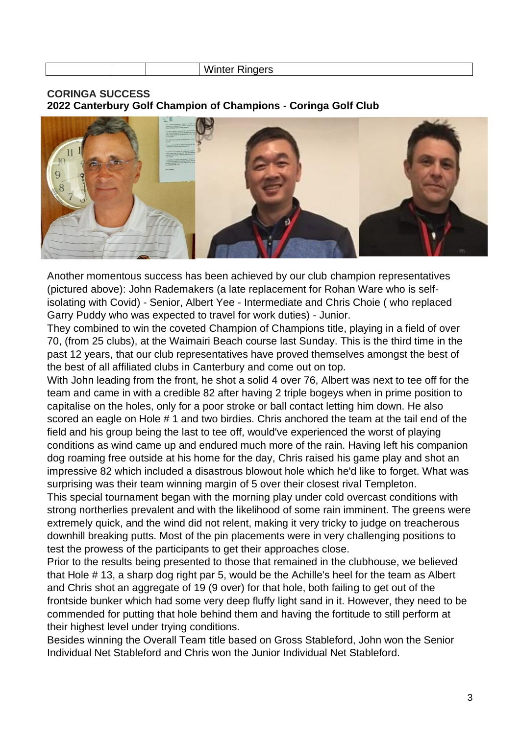|  | .<br>$-1 - 1$<br>$\mathbf{v}$<br>-- |
|--|-------------------------------------|
|  |                                     |

**CORINGA SUCCESS 2022 Canterbury Golf Champion of Champions - Coringa Golf Club**



Another momentous success has been achieved by our club champion representatives (pictured above): John Rademakers (a late replacement for Rohan Ware who is selfisolating with Covid) - Senior, Albert Yee - Intermediate and Chris Choie ( who replaced Garry Puddy who was expected to travel for work duties) - Junior.

They combined to win the coveted Champion of Champions title, playing in a field of over 70, (from 25 clubs), at the Waimairi Beach course last Sunday. This is the third time in the past 12 years, that our club representatives have proved themselves amongst the best of the best of all affiliated clubs in Canterbury and come out on top.

With John leading from the front, he shot a solid 4 over 76, Albert was next to tee off for the team and came in with a credible 82 after having 2 triple bogeys when in prime position to capitalise on the holes, only for a poor stroke or ball contact letting him down. He also scored an eagle on Hole # 1 and two birdies. Chris anchored the team at the tail end of the field and his group being the last to tee off, would've experienced the worst of playing conditions as wind came up and endured much more of the rain. Having left his companion dog roaming free outside at his home for the day, Chris raised his game play and shot an impressive 82 which included a disastrous blowout hole which he'd like to forget. What was surprising was their team winning margin of 5 over their closest rival Templeton.

This special tournament began with the morning play under cold overcast conditions with strong northerlies prevalent and with the likelihood of some rain imminent. The greens were extremely quick, and the wind did not relent, making it very tricky to judge on treacherous downhill breaking putts. Most of the pin placements were in very challenging positions to test the prowess of the participants to get their approaches close.

Prior to the results being presented to those that remained in the clubhouse, we believed that Hole # 13, a sharp dog right par 5, would be the Achille's heel for the team as Albert and Chris shot an aggregate of 19 (9 over) for that hole, both failing to get out of the frontside bunker which had some very deep fluffy light sand in it. However, they need to be commended for putting that hole behind them and having the fortitude to still perform at their highest level under trying conditions.

Besides winning the Overall Team title based on Gross Stableford, John won the Senior Individual Net Stableford and Chris won the Junior Individual Net Stableford.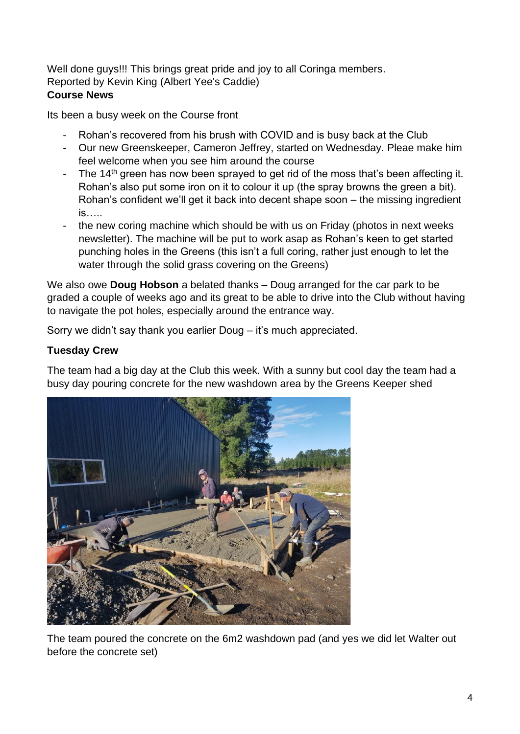Well done guys!!! This brings great pride and joy to all Coringa members. Reported by Kevin King (Albert Yee's Caddie) **Course News**

Its been a busy week on the Course front

- Rohan's recovered from his brush with COVID and is busy back at the Club
- Our new Greenskeeper, Cameron Jeffrey, started on Wednesday. Pleae make him feel welcome when you see him around the course
- The  $14<sup>th</sup>$  green has now been sprayed to get rid of the moss that's been affecting it. Rohan's also put some iron on it to colour it up (the spray browns the green a bit). Rohan's confident we'll get it back into decent shape soon – the missing ingredient is…..
- the new coring machine which should be with us on Friday (photos in next weeks newsletter). The machine will be put to work asap as Rohan's keen to get started punching holes in the Greens (this isn't a full coring, rather just enough to let the water through the solid grass covering on the Greens)

We also owe **Doug Hobson** a belated thanks – Doug arranged for the car park to be graded a couple of weeks ago and its great to be able to drive into the Club without having to navigate the pot holes, especially around the entrance way.

Sorry we didn't say thank you earlier Doug – it's much appreciated.

## **Tuesday Crew**

The team had a big day at the Club this week. With a sunny but cool day the team had a busy day pouring concrete for the new washdown area by the Greens Keeper shed



The team poured the concrete on the 6m2 washdown pad (and yes we did let Walter out before the concrete set)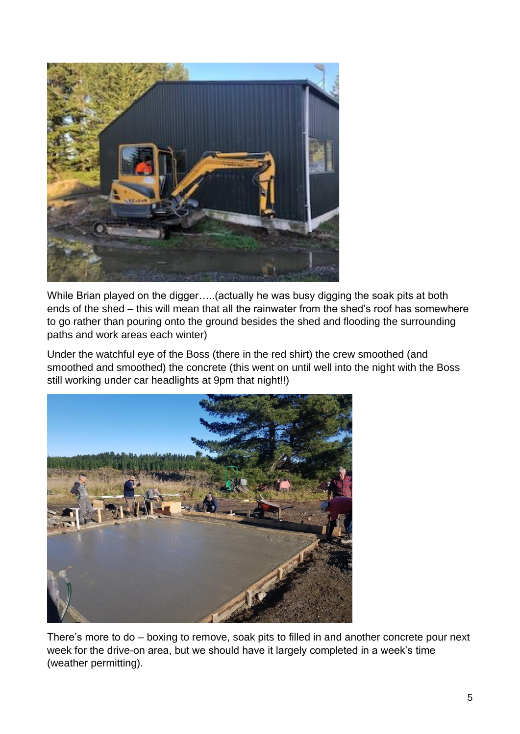

While Brian played on the digger…..(actually he was busy digging the soak pits at both ends of the shed – this will mean that all the rainwater from the shed's roof has somewhere to go rather than pouring onto the ground besides the shed and flooding the surrounding paths and work areas each winter)

Under the watchful eye of the Boss (there in the red shirt) the crew smoothed (and smoothed and smoothed) the concrete (this went on until well into the night with the Boss still working under car headlights at 9pm that night!!)



There's more to do – boxing to remove, soak pits to filled in and another concrete pour next week for the drive-on area, but we should have it largely completed in a week's time (weather permitting).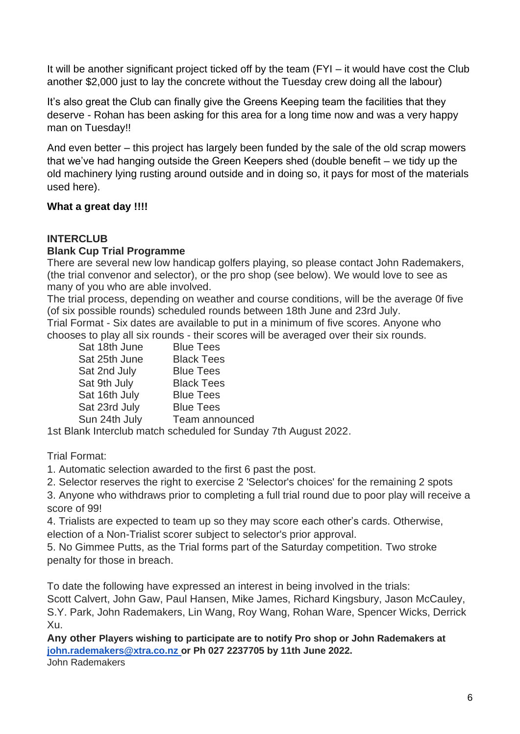It will be another significant project ticked off by the team (FYI – it would have cost the Club another \$2,000 just to lay the concrete without the Tuesday crew doing all the labour)

It's also great the Club can finally give the Greens Keeping team the facilities that they deserve - Rohan has been asking for this area for a long time now and was a very happy man on Tuesday!!

And even better – this project has largely been funded by the sale of the old scrap mowers that we've had hanging outside the Green Keepers shed (double benefit – we tidy up the old machinery lying rusting around outside and in doing so, it pays for most of the materials used here).

#### **What a great day !!!!**

#### **INTERCLUB Blank Cup Trial Programme**

There are several new low handicap golfers playing, so please contact John Rademakers, (the trial convenor and selector), or the pro shop (see below). We would love to see as many of you who are able involved.

The trial process, depending on weather and course conditions, will be the average 0f five (of six possible rounds) scheduled rounds between 18th June and 23rd July. Trial Format - Six dates are available to put in a minimum of five scores. Anyone who

chooses to play all six rounds - their scores will be averaged over their six rounds.

| Sat 18th June | <b>Blue Tees</b>  |
|---------------|-------------------|
| Sat 25th June | <b>Black Tees</b> |
| Sat 2nd July  | <b>Blue Tees</b>  |
| Sat 9th July  | <b>Black Tees</b> |
| Sat 16th July | <b>Blue Tees</b>  |
| Sat 23rd July | <b>Blue Tees</b>  |
| Sun 24th July | Team announced    |
|               |                   |

1st Blank Interclub match scheduled for Sunday 7th August 2022.

Trial Format:

1. Automatic selection awarded to the first 6 past the post.

2. Selector reserves the right to exercise 2 'Selector's choices' for the remaining 2 spots

3. Anyone who withdraws prior to completing a full trial round due to poor play will receive a score of 99!

4. Trialists are expected to team up so they may score each other's cards. Otherwise, election of a Non-Trialist scorer subject to selector's prior approval.

5. No Gimmee Putts, as the Trial forms part of the Saturday competition. Two stroke penalty for those in breach.

To date the following have expressed an interest in being involved in the trials:

Scott Calvert, John Gaw, Paul Hansen, Mike James, Richard Kingsbury, Jason McCauley, S.Y. Park, John Rademakers, Lin Wang, Roy Wang, Rohan Ware, Spencer Wicks, Derrick Xu.

**Any other Players wishing to participate are to notify Pro shop or John Rademakers at [john.rademakers@xtra.co.nz](mailto:john.rademakers@xtra.co.nz) or Ph 027 2237705 by 11th June 2022.** John Rademakers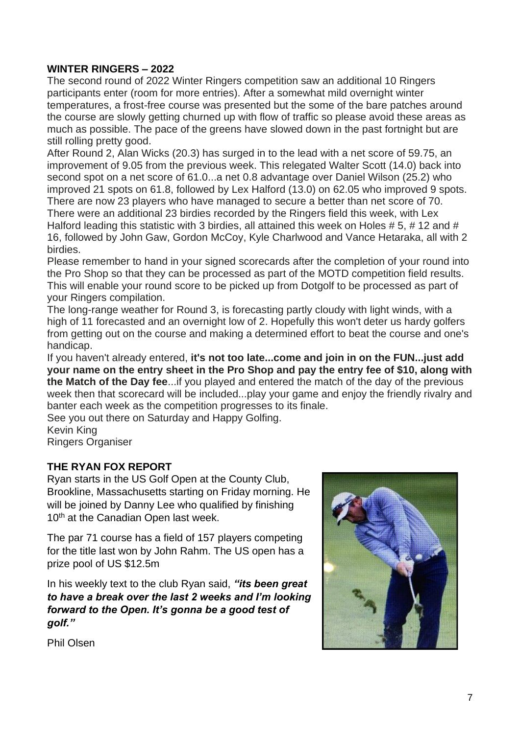## **WINTER RINGERS – 2022**

The second round of 2022 Winter Ringers competition saw an additional 10 Ringers participants enter (room for more entries). After a somewhat mild overnight winter temperatures, a frost-free course was presented but the some of the bare patches around the course are slowly getting churned up with flow of traffic so please avoid these areas as much as possible. The pace of the greens have slowed down in the past fortnight but are still rolling pretty good.

After Round 2, Alan Wicks (20.3) has surged in to the lead with a net score of 59.75, an improvement of 9.05 from the previous week. This relegated Walter Scott (14.0) back into second spot on a net score of 61.0...a net 0.8 advantage over Daniel Wilson (25.2) who improved 21 spots on 61.8, followed by Lex Halford (13.0) on 62.05 who improved 9 spots. There are now 23 players who have managed to secure a better than net score of 70. There were an additional 23 birdies recorded by the Ringers field this week, with Lex Halford leading this statistic with 3 birdies, all attained this week on Holes # 5, # 12 and # 16, followed by John Gaw, Gordon McCoy, Kyle Charlwood and Vance Hetaraka, all with 2 birdies.

Please remember to hand in your signed scorecards after the completion of your round into the Pro Shop so that they can be processed as part of the MOTD competition field results. This will enable your round score to be picked up from Dotgolf to be processed as part of your Ringers compilation.

The long-range weather for Round 3, is forecasting partly cloudy with light winds, with a high of 11 forecasted and an overnight low of 2. Hopefully this won't deter us hardy golfers from getting out on the course and making a determined effort to beat the course and one's handicap.

If you haven't already entered, **it's not too late...come and join in on the FUN...just add your name on the entry sheet in the Pro Shop and pay the entry fee of \$10, along with the Match of the Day fee**...if you played and entered the match of the day of the previous week then that scorecard will be included...play your game and enjoy the friendly rivalry and banter each week as the competition progresses to its finale.

See you out there on Saturday and Happy Golfing.

Kevin King Ringers Organiser

#### **THE RYAN FOX REPORT**

Ryan starts in the US Golf Open at the County Club, Brookline, Massachusetts starting on Friday morning. He will be joined by Danny Lee who qualified by finishing 10<sup>th</sup> at the Canadian Open last week.

The par 71 course has a field of 157 players competing for the title last won by John Rahm. The US open has a prize pool of US \$12.5m

In his weekly text to the club Ryan said, *"its been great to have a break over the last 2 weeks and I'm looking forward to the Open. It's gonna be a good test of golf."*



Phil Olsen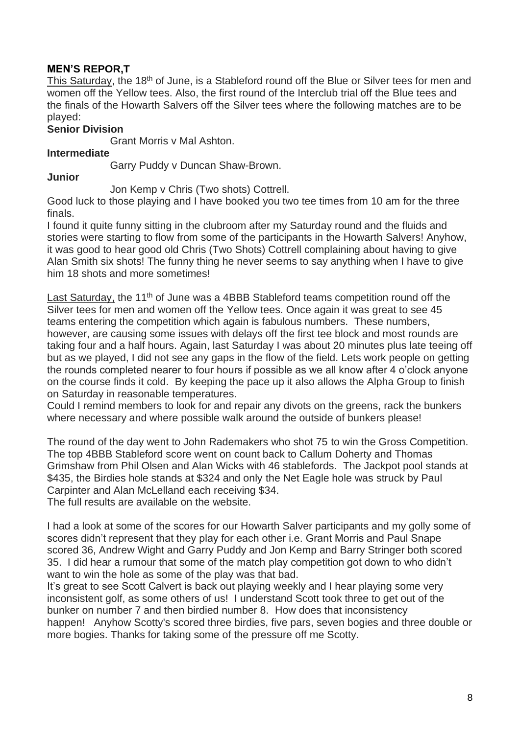### **MEN'S REPOR,T**

This Saturday, the 18<sup>th</sup> of June, is a Stableford round off the Blue or Silver tees for men and women off the Yellow tees. Also, the first round of the Interclub trial off the Blue tees and the finals of the Howarth Salvers off the Silver tees where the following matches are to be played:

#### **Senior Division**

Grant Morris v Mal Ashton.

#### **Intermediate**

Garry Puddy v Duncan Shaw-Brown.

#### **Junior**

Jon Kemp v Chris (Two shots) Cottrell.

Good luck to those playing and I have booked you two tee times from 10 am for the three finals.

I found it quite funny sitting in the clubroom after my Saturday round and the fluids and stories were starting to flow from some of the participants in the Howarth Salvers! Anyhow, it was good to hear good old Chris (Two Shots) Cottrell complaining about having to give Alan Smith six shots! The funny thing he never seems to say anything when I have to give him 18 shots and more sometimes!

Last Saturday, the 11<sup>th</sup> of June was a 4BBB Stableford teams competition round off the Silver tees for men and women off the Yellow tees. Once again it was great to see 45 teams entering the competition which again is fabulous numbers. These numbers, however, are causing some issues with delays off the first tee block and most rounds are taking four and a half hours. Again, last Saturday I was about 20 minutes plus late teeing off but as we played, I did not see any gaps in the flow of the field. Lets work people on getting the rounds completed nearer to four hours if possible as we all know after 4 o'clock anyone on the course finds it cold. By keeping the pace up it also allows the Alpha Group to finish on Saturday in reasonable temperatures.

Could I remind members to look for and repair any divots on the greens, rack the bunkers where necessary and where possible walk around the outside of bunkers please!

The round of the day went to John Rademakers who shot 75 to win the Gross Competition. The top 4BBB Stableford score went on count back to Callum Doherty and Thomas Grimshaw from Phil Olsen and Alan Wicks with 46 stablefords. The Jackpot pool stands at \$435, the Birdies hole stands at \$324 and only the Net Eagle hole was struck by Paul Carpinter and Alan McLelland each receiving \$34.

The full results are available on the website.

I had a look at some of the scores for our Howarth Salver participants and my golly some of scores didn't represent that they play for each other i.e. Grant Morris and Paul Snape scored 36, Andrew Wight and Garry Puddy and Jon Kemp and Barry Stringer both scored 35. I did hear a rumour that some of the match play competition got down to who didn't want to win the hole as some of the play was that bad.

It's great to see Scott Calvert is back out playing weekly and I hear playing some very inconsistent golf, as some others of us! I understand Scott took three to get out of the bunker on number 7 and then birdied number 8. How does that inconsistency happen! Anyhow Scotty's scored three birdies, five pars, seven bogies and three double or more bogies. Thanks for taking some of the pressure off me Scotty.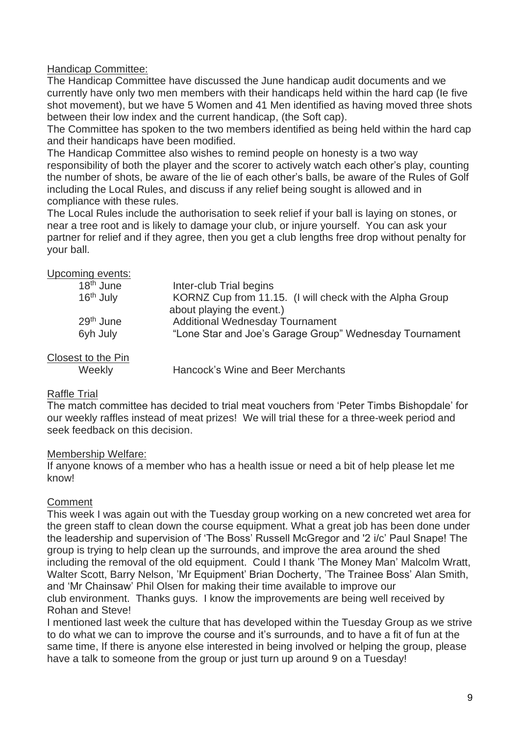#### Handicap Committee:

The Handicap Committee have discussed the June handicap audit documents and we currently have only two men members with their handicaps held within the hard cap (Ie five shot movement), but we have 5 Women and 41 Men identified as having moved three shots between their low index and the current handicap, (the Soft cap).

The Committee has spoken to the two members identified as being held within the hard cap and their handicaps have been modified.

The Handicap Committee also wishes to remind people on honesty is a two way responsibility of both the player and the scorer to actively watch each other's play, counting the number of shots, be aware of the lie of each other's balls, be aware of the Rules of Golf including the Local Rules, and discuss if any relief being sought is allowed and in compliance with these rules.

The Local Rules include the authorisation to seek relief if your ball is laying on stones, or near a tree root and is likely to damage your club, or injure yourself. You can ask your partner for relief and if they agree, then you get a club lengths free drop without penalty for your ball.

| Upcoming events:      |                                                                                       |
|-----------------------|---------------------------------------------------------------------------------------|
| $18th$ June           | Inter-club Trial begins                                                               |
| 16 <sup>th</sup> July | KORNZ Cup from 11.15. (I will check with the Alpha Group<br>about playing the event.) |
| $29th$ June           | <b>Additional Wednesday Tournament</b>                                                |
| 6yh July              | "Lone Star and Joe's Garage Group" Wednesday Tournament                               |
| Closest to the Pin    |                                                                                       |
| Weekly                | Hancock's Wine and Beer Merchants                                                     |

# Raffle Trial

The match committee has decided to trial meat vouchers from 'Peter Timbs Bishopdale' for our weekly raffles instead of meat prizes! We will trial these for a three-week period and seek feedback on this decision.

#### Membership Welfare:

If anyone knows of a member who has a health issue or need a bit of help please let me know!

#### **Comment**

This week I was again out with the Tuesday group working on a new concreted wet area for the green staff to clean down the course equipment. What a great job has been done under the leadership and supervision of 'The Boss' Russell McGregor and '2 i/c' Paul Snape! The group is trying to help clean up the surrounds, and improve the area around the shed including the removal of the old equipment. Could I thank 'The Money Man' Malcolm Wratt, Walter Scott, Barry Nelson, 'Mr Equipment' Brian Docherty, 'The Trainee Boss' Alan Smith, and 'Mr Chainsaw' Phil Olsen for making their time available to improve our club environment. Thanks guys. I know the improvements are being well received by Rohan and Steve!

I mentioned last week the culture that has developed within the Tuesday Group as we strive to do what we can to improve the course and it's surrounds, and to have a fit of fun at the same time, If there is anyone else interested in being involved or helping the group, please have a talk to someone from the group or just turn up around 9 on a Tuesday!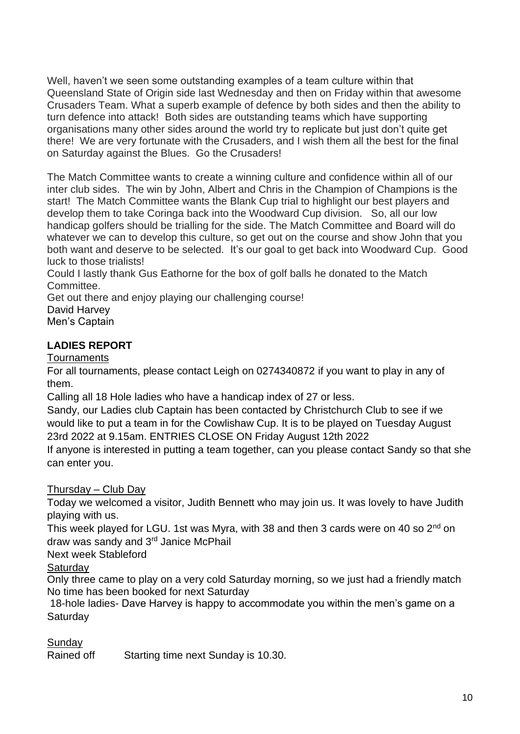Well, haven't we seen some outstanding examples of a team culture within that Queensland State of Origin side last Wednesday and then on Friday within that awesome Crusaders Team. What a superb example of defence by both sides and then the ability to turn defence into attack! Both sides are outstanding teams which have supporting organisations many other sides around the world try to replicate but just don't quite get there! We are very fortunate with the Crusaders, and I wish them all the best for the final on Saturday against the Blues. Go the Crusaders!

The Match Committee wants to create a winning culture and confidence within all of our inter club sides. The win by John, Albert and Chris in the Champion of Champions is the start! The Match Committee wants the Blank Cup trial to highlight our best players and develop them to take Coringa back into the Woodward Cup division. So, all our low handicap golfers should be trialling for the side. The Match Committee and Board will do whatever we can to develop this culture, so get out on the course and show John that you both want and deserve to be selected. It's our goal to get back into Woodward Cup. Good luck to those trialists!

Could I lastly thank Gus Eathorne for the box of golf balls he donated to the Match Committee.

Get out there and enjoy playing our challenging course! David Harvey

Men's Captain

## **LADIES REPORT**

**Tournaments** 

For all tournaments, please contact Leigh on 0274340872 if you want to play in any of them.

Calling all 18 Hole ladies who have a handicap index of 27 or less.

Sandy, our Ladies club Captain has been contacted by Christchurch Club to see if we would like to put a team in for the Cowlishaw Cup. It is to be played on Tuesday August 23rd 2022 at 9.15am. ENTRIES CLOSE ON Friday August 12th 2022

If anyone is interested in putting a team together, can you please contact Sandy so that she can enter you.

## Thursday – Club Day

Today we welcomed a visitor, Judith Bennett who may join us. It was lovely to have Judith playing with us.

This week played for LGU. 1st was Myra, with 38 and then 3 cards were on 40 so 2<sup>nd</sup> on draw was sandy and 3<sup>rd</sup> Janice McPhail

Next week Stableford

**Saturday** 

Only three came to play on a very cold Saturday morning, so we just had a friendly match No time has been booked for next Saturday

18-hole ladies- Dave Harvey is happy to accommodate you within the men's game on a **Saturday** 

Sunday

Rained off Starting time next Sunday is 10.30.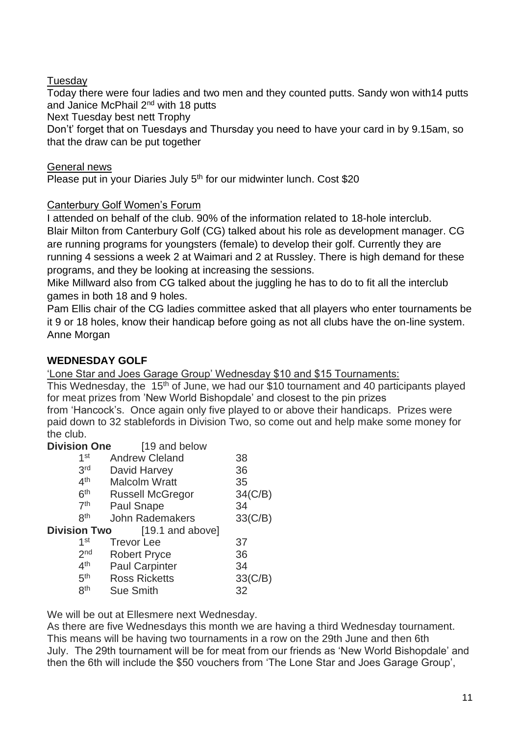Tuesday

Today there were four ladies and two men and they counted putts. Sandy won with14 putts and Janice McPhail 2<sup>nd</sup> with 18 putts

Next Tuesday best nett Trophy

Don't' forget that on Tuesdays and Thursday you need to have your card in by 9.15am, so that the draw can be put together

General news

Please put in your Diaries July 5<sup>th</sup> for our midwinter lunch. Cost \$20

## Canterbury Golf Women's Forum

I attended on behalf of the club. 90% of the information related to 18-hole interclub. Blair Milton from Canterbury Golf (CG) talked about his role as development manager. CG are running programs for youngsters (female) to develop their golf. Currently they are running 4 sessions a week 2 at Waimari and 2 at Russley. There is high demand for these programs, and they be looking at increasing the sessions.

Mike Millward also from CG talked about the juggling he has to do to fit all the interclub games in both 18 and 9 holes.

Pam Ellis chair of the CG ladies committee asked that all players who enter tournaments be it 9 or 18 holes, know their handicap before going as not all clubs have the on-line system. Anne Morgan

## **WEDNESDAY GOLF**

'Lone Star and Joes Garage Group' Wednesday \$10 and \$15 Tournaments:

This Wednesday, the 15<sup>th</sup> of June, we had our \$10 tournament and 40 participants played for meat prizes from 'New World Bishopdale' and closest to the pin prizes from 'Hancock's. Once again only five played to or above their handicaps. Prizes were paid down to 32 stablefords in Division Two, so come out and help make some money for the club.

**Division One** [19 and below]

| 1 <sup>st</sup>     | <b>Andrew Cleland</b>   | 38         |
|---------------------|-------------------------|------------|
| 3 <sup>rd</sup>     | David Harvey            | 36         |
| 4 <sup>th</sup>     | <b>Malcolm Wratt</b>    | 35         |
| 6 <sup>th</sup>     | <b>Russell McGregor</b> | $34$ (C/B) |
| 7 <sup>th</sup>     | <b>Paul Snape</b>       | 34         |
| <b>gth</b>          | <b>John Rademakers</b>  | 33(C/B)    |
| <b>Division Two</b> | [19.1 and above]        |            |
| 1 <sup>st</sup>     | <b>Trevor Lee</b>       | 37         |
| 2 <sub>nd</sub>     | <b>Robert Pryce</b>     | 36         |
| 4 <sup>th</sup>     | <b>Paul Carpinter</b>   | 34         |
| 5 <sup>th</sup>     | <b>Ross Ricketts</b>    | 33(C/B)    |
| <b>gth</b>          | <b>Sue Smith</b>        | 32         |
|                     |                         |            |

We will be out at Ellesmere next Wednesday.

As there are five Wednesdays this month we are having a third Wednesday tournament. This means will be having two tournaments in a row on the 29th June and then 6th July. The 29th tournament will be for meat from our friends as 'New World Bishopdale' and then the 6th will include the \$50 vouchers from 'The Lone Star and Joes Garage Group',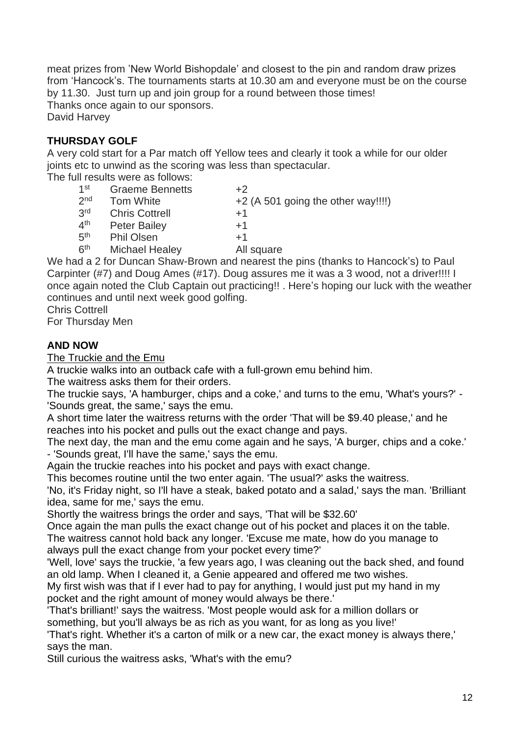meat prizes from 'New World Bishopdale' and closest to the pin and random draw prizes from 'Hancock's. The tournaments starts at 10.30 am and everyone must be on the course by 11.30. Just turn up and join group for a round between those times! Thanks once again to our sponsors. David Harvey

#### **THURSDAY GOLF**

 $4<sup>th</sup>$ 

A very cold start for a Par match off Yellow tees and clearly it took a while for our older joints etc to unwind as the scoring was less than spectacular.

The full results were as follows:

- $1<sup>st</sup>$ Graeme Bennetts +2  $2<sub>nd</sub>$ Tom White  $+2$  (A 501 going the other way!!!!)
- 3rd Chris Cottrell  $+1$
- - - Peter Bailey  $+1$
- $5<sup>th</sup>$ Phil Olsen  $+1$
- $6<sup>th</sup>$ Michael Healey All square

We had a 2 for Duncan Shaw-Brown and nearest the pins (thanks to Hancock's) to Paul Carpinter (#7) and Doug Ames (#17). Doug assures me it was a 3 wood, not a driver!!!! I once again noted the Club Captain out practicing!! . Here's hoping our luck with the weather continues and until next week good golfing.

Chris Cottrell

For Thursday Men

#### **AND NOW**

The Truckie and the Emu

A truckie walks into an outback cafe with a full-grown emu behind him.

The waitress asks them for their orders.

The truckie says, 'A hamburger, chips and a coke,' and turns to the emu, 'What's yours?' - 'Sounds great, the same,' says the emu.

A short time later the waitress returns with the order 'That will be \$9.40 please,' and he reaches into his pocket and pulls out the exact change and pays.

The next day, the man and the emu come again and he says, 'A burger, chips and a coke.' - 'Sounds great, I'll have the same,' says the emu.

Again the truckie reaches into his pocket and pays with exact change.

This becomes routine until the two enter again. 'The usual?' asks the waitress.

'No, it's Friday night, so I'll have a steak, baked potato and a salad,' says the man. 'Brilliant idea, same for me,' says the emu.

Shortly the waitress brings the order and says, 'That will be \$32.60'

Once again the man pulls the exact change out of his pocket and places it on the table.

The waitress cannot hold back any longer. 'Excuse me mate, how do you manage to always pull the exact change from your pocket every time?'

'Well, love' says the truckie, 'a few years ago, I was cleaning out the back shed, and found an old lamp. When I cleaned it, a Genie appeared and offered me two wishes.

My first wish was that if I ever had to pay for anything, I would just put my hand in my pocket and the right amount of money would always be there.'

'That's brilliant!' says the waitress. 'Most people would ask for a million dollars or something, but you'll always be as rich as you want, for as long as you live!'

'That's right. Whether it's a carton of milk or a new car, the exact money is always there,' says the man.

Still curious the waitress asks, 'What's with the emu?